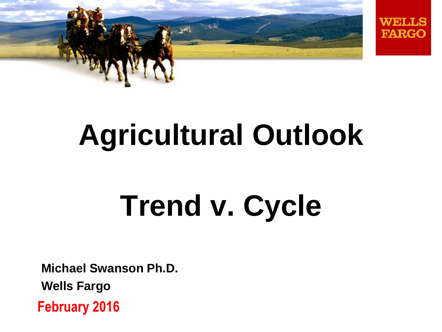



# **Agricultural Outlook**

# **Trend v. Cycle**

**Michael Swanson Ph.D.**

**Wells Fargo**

**February 2016**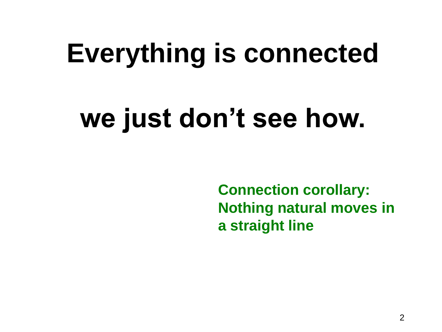# **Everything is connected**

# **we just don't see how.**

**Connection corollary: Nothing natural moves in a straight line**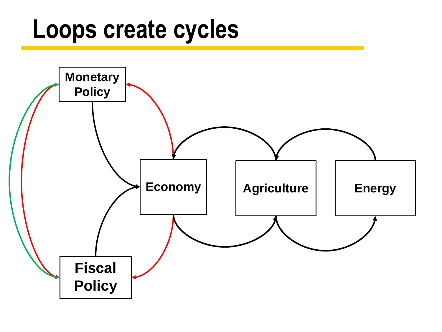## **Loops create cycles**

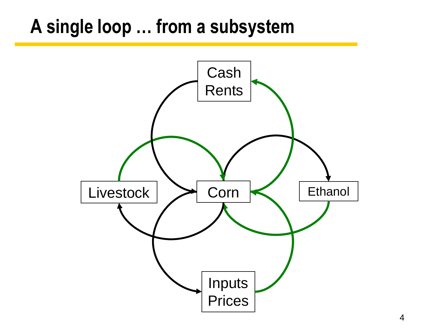#### **A single loop … from a subsystem**

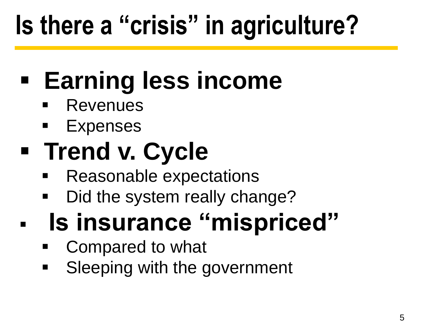# **Is there a "crisis" in agriculture?**

# **Earning less income**

- **Revenues**
- **Expenses**

# **Figure 1 Trend v. Cycle**

- **Reasonable expectations**
- Did the system really change?

# **Is insurance "mispriced"**

- Compared to what
- **Sleeping with the government**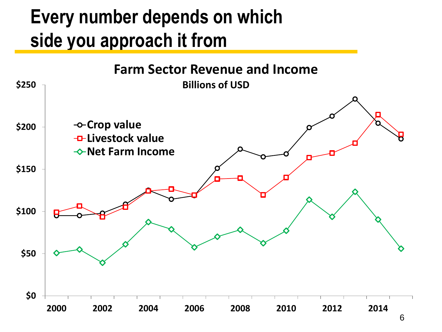#### **Every number depends on which side you approach it from**

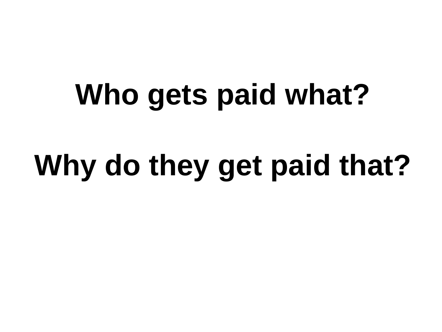# **Who gets paid what?**

# **Why do they get paid that?**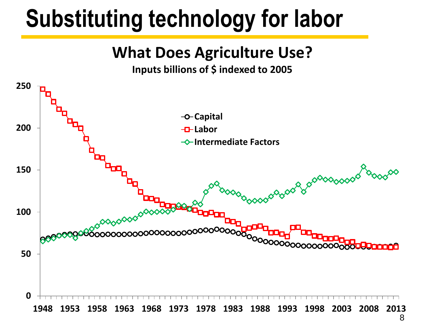## **Substituting technology for labor**

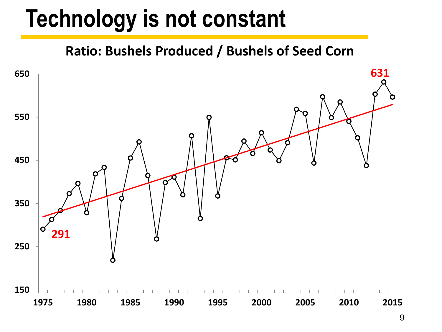## **Technology is not constant**

**Ratio: Bushels Produced / Bushels of Seed Corn**

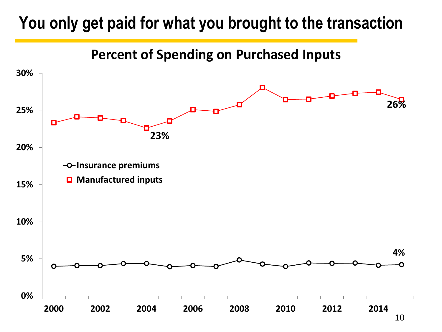#### **You only get paid for what you brought to the transaction**

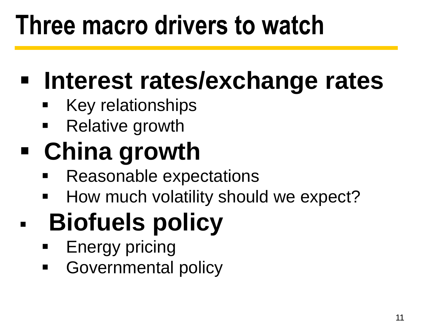# **Three macro drivers to watch**

## **Interest rates/exchange rates**

- **Key relationships**
- **Relative growth**

# **China growth**

- **Reasonable expectations**
- **How much volatility should we expect?**

# **Biofuels policy**

- **Energy pricing**
- **Governmental policy**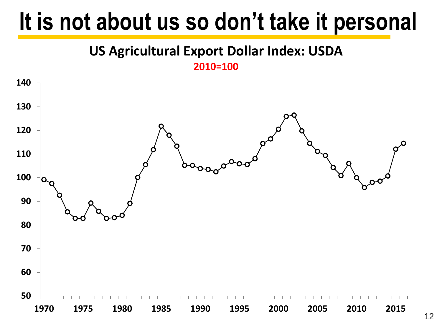## **It is not about us so don't take it personal**



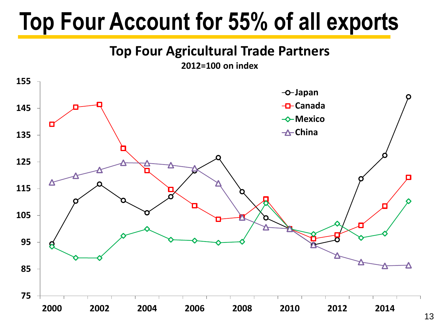## **Top Four Account for 55% of all exports**

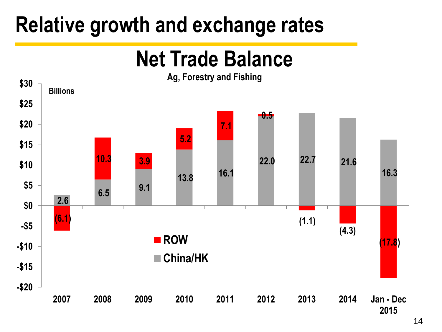### **Relative growth and exchange rates**

#### **Net Trade Balance**

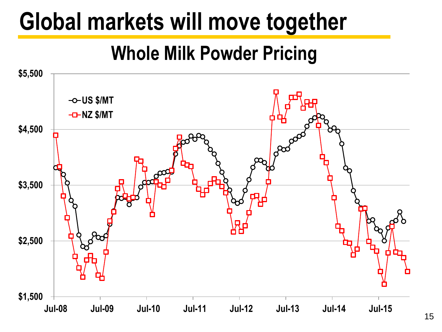## **Global markets will move together**

#### **Whole Milk Powder Pricing**

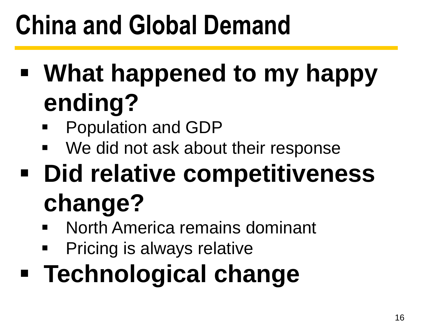# **China and Global Demand**

- **What happened to my happy ending?**
	- **Population and GDP**
	- We did not ask about their response
- **Did relative competitiveness change?**
	- **North America remains dominant**
	- **Pricing is always relative**
- **Technological change**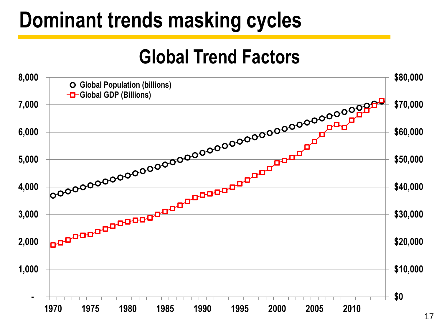### **Dominant trends masking cycles**

#### **Global Trend Factors**

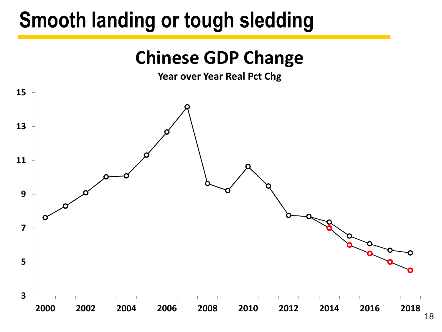### **Smooth landing or tough sledding**



**Year over Year Real Pct Chg**

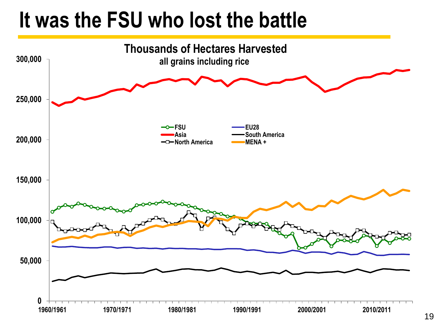### **It was the FSU who lost the battle**

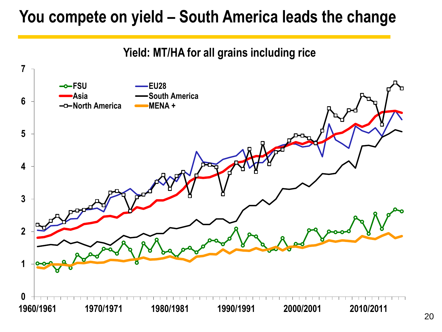#### **You compete on yield – South America leads the change**

**Yield: MT/HA for all grains including rice**

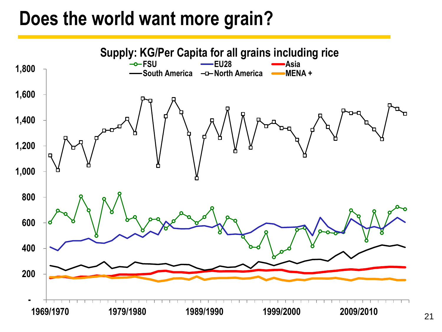#### **Does the world want more grain?**

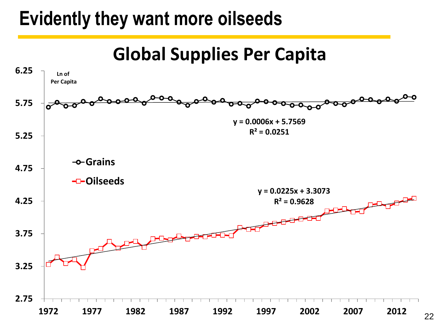#### **Evidently they want more oilseeds**

**Global Supplies Per Capita**

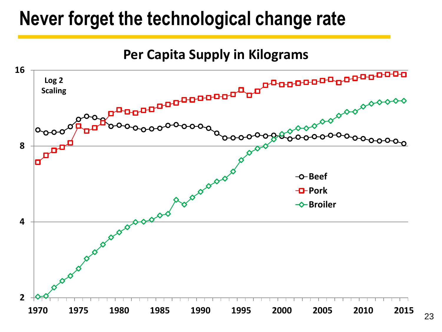#### **Never forget the technological change rate**



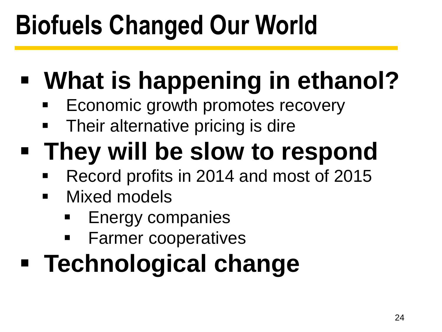# **Biofuels Changed Our World**

- **What is happening in ethanol?**
	- **Economic growth promotes recovery**
	- Their alternative pricing is dire
- **They will be slow to respond**
	- Record profits in 2014 and most of 2015
	- **Nixed models** 
		- Energy companies
		- **Farmer cooperatives**
- **Technological change**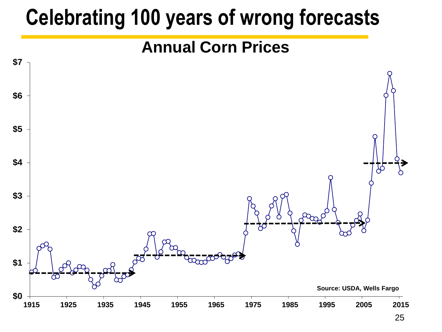### **Celebrating 100 years of wrong forecasts**

#### **Annual Corn Prices**

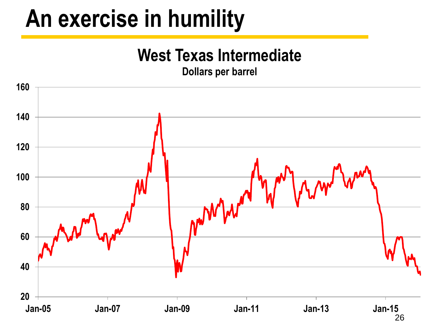## **An exercise in humility**

#### **West Texas Intermediate**

**Dollars per barrel**

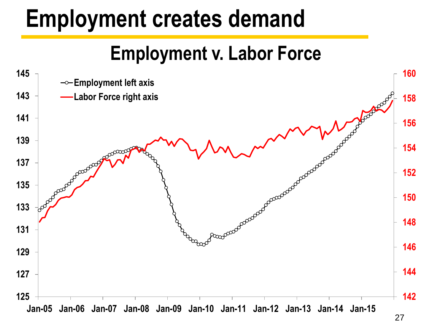## **Employment creates demand**

#### **Employment v. Labor Force**

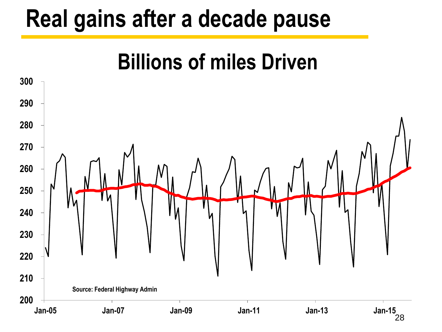### **Real gains after a decade pause**

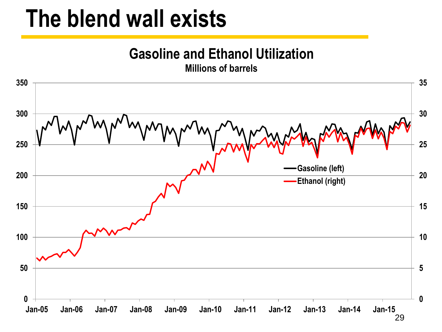### **The blend wall exists**

**Gasoline and Ethanol Utilization**

**Millions of barrels**

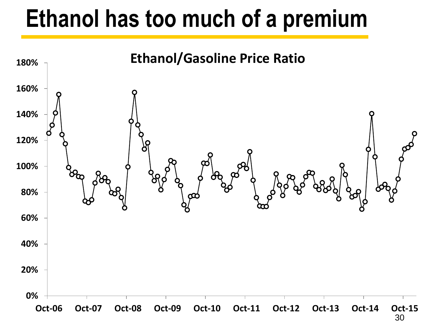### **Ethanol has too much of a premium**

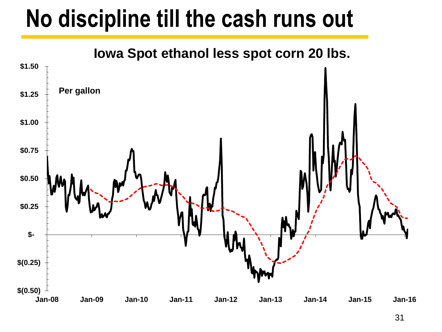## **No discipline till the cash runs out**